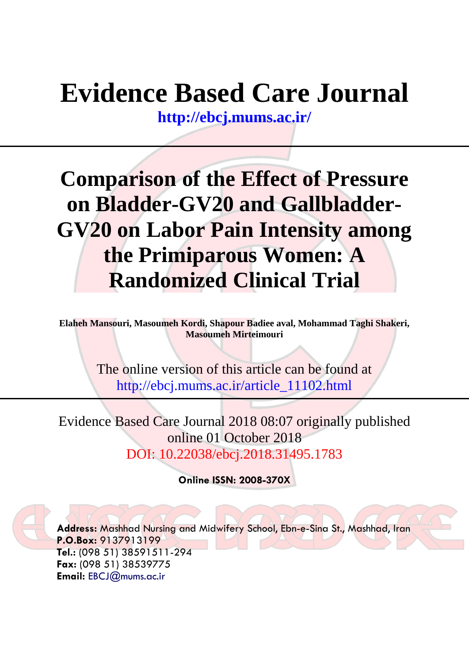# **Evidence Based Care Journal**

**<http://ebcj.mums.ac.ir/>**

## **Comparison of the Effect of Pressure on Bladder-GV20 and Gallbladder-GV20 on Labor Pain Intensity among the Primiparous Women: A Randomized Clinical Trial**

**Elaheh Mansouri, Masoumeh Kordi, Shapour Badiee aval, Mohammad Taghi Shakeri, Masoumeh Mirteimouri**

> The online version of this article can be found at http://ebcj.mums.ac.ir/article\_11102.html

Evidence Based Care Journal 2018 08:07 originally published online 01 October 2018 DOI: 10.22038/ebcj.2018.31495.1783

**Online ISSN: 2008-370X**

**Address:** Mashhad Nursing and Midwifery School, Ebn-e-Sina St., Mashhad, Iran **P.O.Box:** 9137913199 **Tel.:** (098 51) 38591511-294 **Fax:** (098 51) 38539775 **Email:** [EBCJ@mums.ac.ir](mailto:EBCJ@mums.ac.ir)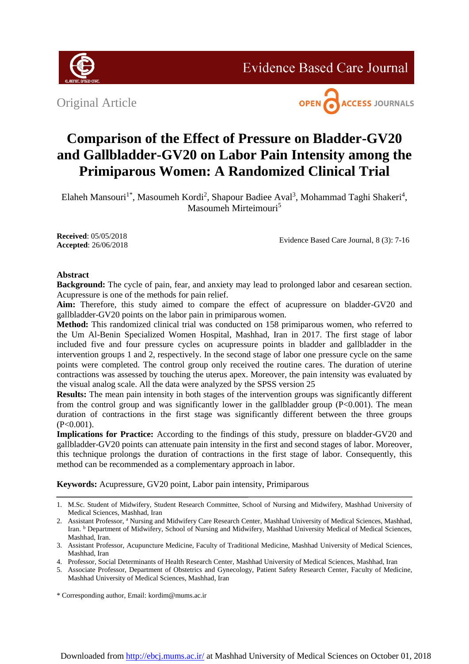

**Evidence Based Care Journal** 

Original Article



### **Comparison of the Effect of Pressure on Bladder-GV20 and Gallbladder-GV20 on Labor Pain Intensity among the Primiparous Women: A Randomized Clinical Trial**

Elaheh Mansouri<sup>1\*</sup>, Masoumeh Kordi<sup>2</sup>, Shapour Badiee Aval<sup>3</sup>, Mohammad Taghi Shakeri<sup>4</sup>, Masoumeh Mirteimouri<sup>5</sup>

**Received**: 05/05/2018 **Accepted**: 26/06/2018

Evidence Based Care Journal, 8 (3): 7-16

#### **Abstract**

**Background:** The cycle of pain, fear, and anxiety may lead to prolonged labor and cesarean section. Acupressure is one of the methods for pain relief.

Aim: Therefore, this study aimed to compare the effect of acupressure on bladder-GV20 and gallbladder-GV20 points on the labor pain in primiparous women.

**Method:** This randomized clinical trial was conducted on 158 primiparous women, who referred to the Um Al-Benin Specialized Women Hospital, Mashhad, Iran in 2017. The first stage of labor included five and four pressure cycles on acupressure points in bladder and gallbladder in the intervention groups 1 and 2, respectively. In the second stage of labor one pressure cycle on the same points were completed. The control group only received the routine cares. The duration of uterine contractions was assessed by touching the uterus apex. Moreover, the pain intensity was evaluated by the visual analog scale. All the data were analyzed by the SPSS version 25

**Results:** The mean pain intensity in both stages of the intervention groups was significantly different from the control group and was significantly lower in the gallbladder group  $(P<0.001)$ . The mean duration of contractions in the first stage was significantly different between the three groups  $(P<0.001)$ .

**Implications for Practice:** According to the findings of this study, pressure on bladder-GV20 and gallbladder-GV20 points can attenuate pain intensity in the first and second stages of labor. Moreover, this technique prolongs the duration of contractions in the first stage of labor. Consequently, this method can be recommended as a complementary approach in labor.

**Keywords:** Acupressure, GV20 point, Labor pain intensity, Primiparous

\* Corresponding author, Email: kordim@mums.ac.ir

<sup>1.</sup> M.Sc. Student of Midwifery, Student Research Committee, School of Nursing and Midwifery, Mashhad University of Medical Sciences, Mashhad, Iran

<sup>2.</sup> Assistant Professor, <sup>a</sup> Nursing and Midwifery Care Research Center, Mashhad University of Medical Sciences, Mashhad, Iran. <sup>b</sup> Department of Midwifery, School of Nursing and Midwifery, Mashhad University Medical of Medical Sciences, Mashhad, Iran.

<sup>3.</sup> Assistant Professor, Acupuncture Medicine, Faculty of Traditional Medicine, Mashhad University of Medical Sciences, Mashhad, Iran

<sup>4.</sup> Professor, Social Determinants of Health Research Center, Mashhad University of Medical Sciences, Mashhad, Iran

<sup>5.</sup> Associate Professor, Department of Obstetrics and Gynecology, Patient Safety Research Center, Faculty of Medicine, Mashhad University of Medical Sciences, Mashhad, Iran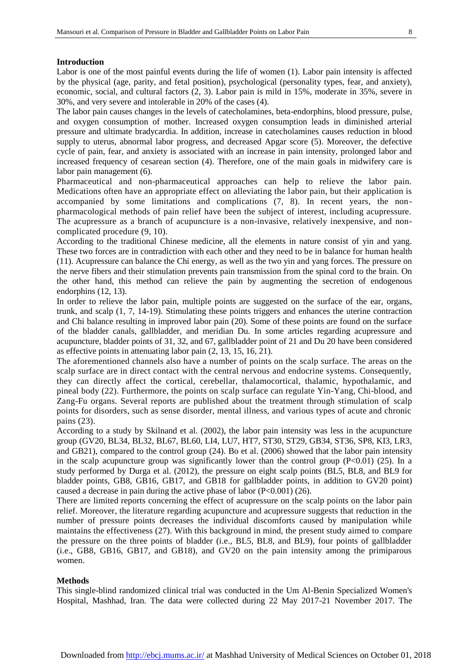#### **Introduction**

Labor is one of the most painful events during the life of women (1). Labor pain intensity is affected by the physical (age, parity, and fetal position), psychological (personality types, fear, and anxiety), economic, social, and cultural factors (2, 3). Labor pain is mild in 15%, moderate in 35%, severe in 30%, and very severe and intolerable in 20% of the cases (4).

The labor pain causes changes in the levels of catecholamines, beta-endorphins, blood pressure, pulse, and oxygen consumption of mother. Increased oxygen consumption leads in diminished arterial pressure and ultimate bradycardia. In addition, increase in catecholamines causes reduction in blood supply to uterus, abnormal labor progress, and decreased Apgar score (5). Moreover, the defective cycle of pain, fear, and anxiety is associated with an increase in pain intensity, prolonged labor and increased frequency of cesarean section (4). Therefore, one of the main goals in midwifery care is labor pain management (6).

Pharmaceutical and non-pharmaceutical approaches can help to relieve the labor pain. Medications often have an appropriate effect on alleviating the labor pain, but their application is accompanied by some limitations and complications (7, 8). In recent years, the nonpharmacological methods of pain relief have been the subject of interest, including acupressure. The acupressure as a branch of acupuncture is a non-invasive, relatively inexpensive, and noncomplicated procedure (9, 10).

According to the traditional Chinese medicine, all the elements in nature consist of yin and yang. These two forces are in contradiction with each other and they need to be in balance for human health (11). Acupressure can balance the Chi energy, as well as the two yin and yang forces. The pressure on the nerve fibers and their stimulation prevents pain transmission from the spinal cord to the brain. On the other hand, this method can relieve the pain by augmenting the secretion of endogenous endorphins (12, 13).

In order to relieve the labor pain, multiple points are suggested on the surface of the ear, organs, trunk, and scalp (1, 7, 14-19). Stimulating these points triggers and enhances the uterine contraction and Chi balance resulting in improved labor pain (20). Some of these points are found on the surface of the bladder canals, gallbladder, and meridian Du. In some articles regarding acupressure and acupuncture, bladder points of 31, 32, and 67, gallbladder point of 21 and Du 20 have been considered as effective points in attenuating labor pain (2, 13, 15, 16, 21).

The aforementioned channels also have a number of points on the scalp surface. The areas on the scalp surface are in direct contact with the central nervous and endocrine systems. Consequently, they can directly affect the cortical, cerebellar, thalamocortical, thalamic, hypothalamic, and pineal body (22). Furthermore, the points on scalp surface can regulate Yin-Yang, Chi-blood, and Zang-Fu organs. Several reports are published about the treatment through stimulation of scalp points for disorders, such as sense disorder, mental illness, and various types of acute and chronic pains (23).

According to a study by Skilnand et al. (2002), the labor pain intensity was less in the acupuncture group (GV20, BL34, BL32, BL67, BL60, LI4, LU7, HT7, ST30, ST29, GB34, ST36, SP8, KI3, LR3, and GB21), compared to the control group (24). Bo et al. (2006) showed that the labor pain intensity in the scalp acupuncture group was significantly lower than the control group  $(P<0.01)$  (25). In a study performed by Durga et al. (2012), the pressure on eight scalp points (BL5, BL8, and BL9 for bladder points, GB8, GB16, GB17, and GB18 for gallbladder points, in addition to GV20 point) caused a decrease in pain during the active phase of labor  $(P<0.001)$  (26).

There are limited reports concerning the effect of acupressure on the scalp points on the labor pain relief. Moreover, the literature regarding acupuncture and acupressure suggests that reduction in the number of pressure points decreases the individual discomforts caused by manipulation while maintains the effectiveness (27). With this background in mind, the present study aimed to compare the pressure on the three points of bladder (i.e., BL5, BL8, and BL9), four points of gallbladder (i.e., GB8, GB16, GB17, and GB18), and GV20 on the pain intensity among the primiparous women.

#### **Methods**

This single-blind randomized clinical trial was conducted in the Um Al-Benin Specialized Women's Hospital, Mashhad, Iran. The data were collected during 22 May 2017-21 November 2017. The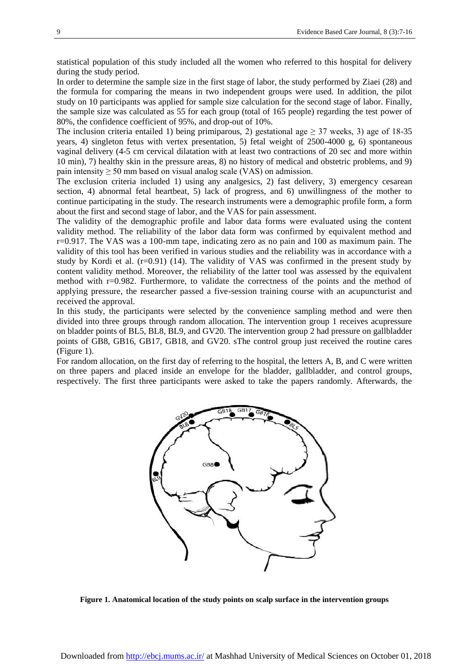statistical population of this study included all the women who referred to this hospital for delivery during the study period.

In order to determine the sample size in the first stage of labor, the study performed by Ziaei (28) and the formula for comparing the means in two independent groups were used. In addition, the pilot study on 10 participants was applied for sample size calculation for the second stage of labor. Finally, the sample size was calculated as 55 for each group (total of 165 people) regarding the test power of 80%, the confidence coefficient of 95%, and drop-out of 10%.

The inclusion criteria entailed 1) being primiparous, 2) gestational age  $\geq$  37 weeks, 3) age of 18-35 years, 4) singleton fetus with vertex presentation, 5) fetal weight of 2500-4000 g, 6) spontaneous vaginal delivery (4-5 cm cervical dilatation with at least two contractions of 20 sec and more within 10 min), 7) healthy skin in the pressure areas, 8) no history of medical and obstetric problems, and 9) pain intensity  $\geq 50$  mm based on visual analog scale (VAS) on admission.

The exclusion criteria included 1) using any analgesics, 2) fast delivery, 3) emergency cesarean section, 4) abnormal fetal heartbeat, 5) lack of progress, and 6) unwillingness of the mother to continue participating in the study. The research instruments were a demographic profile form, a form about the first and second stage of labor, and the VAS for pain assessment.

The validity of the demographic profile and labor data forms were evaluated using the content validity method. The reliability of the labor data form was confirmed by equivalent method and r=0.917. The VAS was a 100-mm tape, indicating zero as no pain and 100 as maximum pain. The validity of this tool has been verified in various studies and the reliability was in accordance with a study by Kordi et al.  $(r=0.91)$  (14). The validity of VAS was confirmed in the present study by content validity method. Moreover, the reliability of the latter tool was assessed by the equivalent method with  $r=0.982$ . Furthermore, to validate the correctness of the points and the method of applying pressure, the researcher passed a five-session training course with an acupuncturist and received the approval.

In this study, the participants were selected by the convenience sampling method and were then divided into three groups through random allocation. The intervention group 1 receives acupressure on bladder points of BL5, BL8, BL9, and GV20. The intervention group 2 had pressure on gallbladder points of GB8, GB16, GB17, GB18, and GV20. sThe control group just received the routine cares (Figure 1).

For random allocation, on the first day of referring to the hospital, the letters A, B, and C were written on three papers and placed inside an envelope for the bladder, gallbladder, and control groups, respectively. The first three participants were asked to take the papers randomly. Afterwards, the



**Figure 1. Anatomical location of the study points on scalp surface in the intervention groups**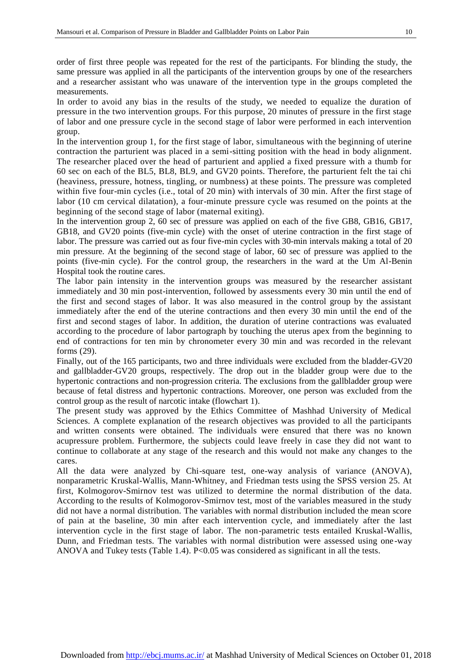order of first three people was repeated for the rest of the participants. For blinding the study, the same pressure was applied in all the participants of the intervention groups by one of the researchers and a researcher assistant who was unaware of the intervention type in the groups completed the measurements.

In order to avoid any bias in the results of the study, we needed to equalize the duration of pressure in the two intervention groups. For this purpose, 20 minutes of pressure in the first stage of labor and one pressure cycle in the second stage of labor were performed in each intervention group.

In the intervention group 1, for the first stage of labor, simultaneous with the beginning of uterine contraction the parturient was placed in a semi-sitting position with the head in body alignment. The researcher placed over the head of parturient and applied a fixed pressure with a thumb for 60 sec on each of the BL5, BL8, BL9, and GV20 points. Therefore, the parturient felt the tai chi (heaviness, pressure, hotness, tingling, or numbness) at these points. The pressure was completed within five four-min cycles (i.e., total of 20 min) with intervals of 30 min. After the first stage of labor (10 cm cervical dilatation), a four-minute pressure cycle was resumed on the points at the beginning of the second stage of labor (maternal exiting).

In the intervention group 2, 60 sec of pressure was applied on each of the five GB8, GB16, GB17, GB18, and GV20 points (five-min cycle) with the onset of uterine contraction in the first stage of labor. The pressure was carried out as four five-min cycles with 30-min intervals making a total of 20 min pressure. At the beginning of the second stage of labor, 60 sec of pressure was applied to the points (five-min cycle). For the control group, the researchers in the ward at the Um Al-Benin Hospital took the routine cares.

The labor pain intensity in the intervention groups was measured by the researcher assistant immediately and 30 min post-intervention, followed by assessments every 30 min until the end of the first and second stages of labor. It was also measured in the control group by the assistant immediately after the end of the uterine contractions and then every 30 min until the end of the first and second stages of labor. In addition, the duration of uterine contractions was evaluated according to the procedure of labor partograph by touching the uterus apex from the beginning to end of contractions for ten min by chronometer every 30 min and was recorded in the relevant forms (29).

Finally, out of the 165 participants, two and three individuals were excluded from the bladder-GV20 and gallbladder-GV20 groups, respectively. The drop out in the bladder group were due to the hypertonic contractions and non-progression criteria. The exclusions from the gallbladder group were because of fetal distress and hypertonic contractions. Moreover, one person was excluded from the control group as the result of narcotic intake (flowchart 1).

The present study was approved by the Ethics Committee of Mashhad University of Medical Sciences. A complete explanation of the research objectives was provided to all the participants and written consents were obtained. The individuals were ensured that there was no known acupressure problem. Furthermore, the subjects could leave freely in case they did not want to continue to collaborate at any stage of the research and this would not make any changes to the cares.

All the data were analyzed by Chi-square test, one-way analysis of variance (ANOVA), nonparametric Kruskal-Wallis, Mann-Whitney, and Friedman tests using the SPSS version 25. At first, Kolmogorov-Smirnov test was utilized to determine the normal distribution of the data. According to the results of Kolmogorov-Smirnov test, most of the variables measured in the study did not have a normal distribution. The variables with normal distribution included the mean score of pain at the baseline, 30 min after each intervention cycle, and immediately after the last intervention cycle in the first stage of labor. The non-parametric tests entailed Kruskal-Wallis, Dunn, and Friedman tests. The variables with normal distribution were assessed using one-way ANOVA and Tukey tests (Table 1.4). P<0.05 was considered as significant in all the tests.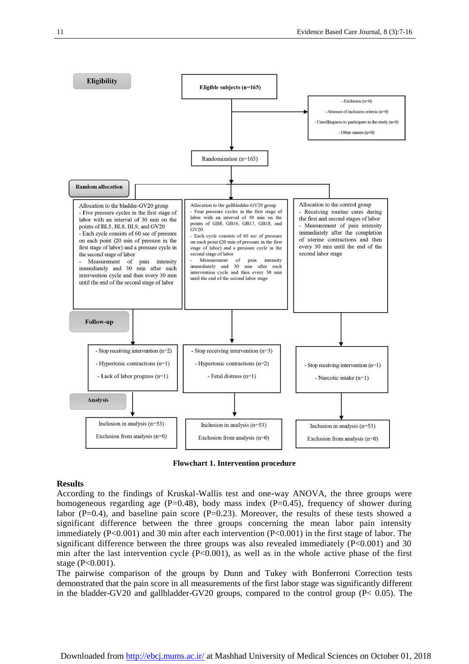

**Flowchart 1. Intervention procedure**

#### **Results**

According to the findings of Kruskal-Wallis test and one-way ANOVA, the three groups were homogeneous regarding age  $(P=0.48)$ , body mass index  $(P=0.45)$ , frequency of shower during labor ( $P=0.4$ ), and baseline pain score ( $P=0.23$ ). Moreover, the results of these tests showed a significant difference between the three groups concerning the mean labor pain intensity immediately (P<0.001) and 30 min after each intervention (P<0.001) in the first stage of labor. The significant difference between the three groups was also revealed immediately  $(P<0.001)$  and 30 min after the last intervention cycle  $(P<0.001)$ , as well as in the whole active phase of the first stage (P<0.001).

The pairwise comparison of the groups by Dunn and Tukey with Bonferroni Correction tests demonstrated that the pain score in all measurements of the first labor stage was significantly different in the bladder-GV20 and gallbladder-GV20 groups, compared to the control group ( $P < 0.05$ ). The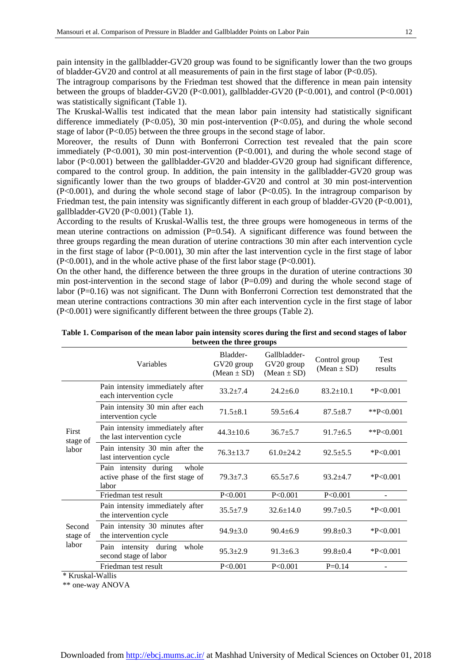pain intensity in the gallbladder-GV20 group was found to be significantly lower than the two groups of bladder-GV20 and control at all measurements of pain in the first stage of labor ( $P<0.05$ ).

The intragroup comparisons by the Friedman test showed that the difference in mean pain intensity between the groups of bladder-GV20 (P<0.001), gallbladder-GV20 (P<0.001), and control (P<0.001) was statistically significant (Table 1).

The Kruskal-Wallis test indicated that the mean labor pain intensity had statistically significant difference immediately ( $P<0.05$ ), 30 min post-intervention ( $P<0.05$ ), and during the whole second stage of labor (P<0.05) between the three groups in the second stage of labor.

Moreover, the results of Dunn with Bonferroni Correction test revealed that the pain score immediately (P<0.001), 30 min post-intervention (P<0.001), and during the whole second stage of labor (P<0.001) between the gallbladder-GV20 and bladder-GV20 group had significant difference, compared to the control group. In addition, the pain intensity in the gallbladder-GV20 group was significantly lower than the two groups of bladder-GV20 and control at 30 min post-intervention (P<0.001), and during the whole second stage of labor (P<0.05). In the intragroup comparison by Friedman test, the pain intensity was significantly different in each group of bladder-GV20 (P<0.001), gallbladder-GV20 (P<0.001) (Table 1).

According to the results of Kruskal-Wallis test, the three groups were homogeneous in terms of the mean uterine contractions on admission (P=0.54). A significant difference was found between the three groups regarding the mean duration of uterine contractions 30 min after each intervention cycle in the first stage of labor ( $P<0.001$ ), 30 min after the last intervention cycle in the first stage of labor (P<0.001), and in the whole active phase of the first labor stage (P<0.001).

On the other hand, the difference between the three groups in the duration of uterine contractions 30 min post-intervention in the second stage of labor  $(P=0.09)$  and during the whole second stage of labor (P=0.16) was not significant. The Dunn with Bonferroni Correction test demonstrated that the mean uterine contractions contractions 30 min after each intervention cycle in the first stage of labor (P<0.001) were significantly different between the three groups (Table 2).

|                                                                                                                                                                                                                                                                                                                                                 | Variables                                                                     | Bladder-<br>GV20 group<br>$(Mean \pm SD)$ | Gallbladder-<br>GV20 group<br>$(Mean \pm SD)$ | Control group<br>$(Mean \pm SD)$ | Test<br>results |
|-------------------------------------------------------------------------------------------------------------------------------------------------------------------------------------------------------------------------------------------------------------------------------------------------------------------------------------------------|-------------------------------------------------------------------------------|-------------------------------------------|-----------------------------------------------|----------------------------------|-----------------|
| First<br>stage of<br>labor                                                                                                                                                                                                                                                                                                                      | Pain intensity immediately after<br>each intervention cycle                   | $33.2 + 7.4$                              | $24.2 \pm 6.0$                                | $83.2 \pm 10.1$                  | $*P<0.001$      |
|                                                                                                                                                                                                                                                                                                                                                 | Pain intensity 30 min after each<br>intervention cycle                        | $71.5 \pm 8.1$                            | $59.5 \pm 6.4$                                | $87.5 \pm 8.7$                   | ** $P<0.001$    |
|                                                                                                                                                                                                                                                                                                                                                 | Pain intensity immediately after<br>the last intervention cycle               | $44.3 \pm 10.6$                           | $36.7 + 5.7$                                  | $91.7 + 6.5$                     | ** $P<0.001$    |
|                                                                                                                                                                                                                                                                                                                                                 | Pain intensity 30 min after the<br>last intervention cycle                    | $76.3 \pm 13.7$                           | $61.0 \pm 24.2$                               | $92.5 \pm 5.5$                   | $*P<0.001$      |
|                                                                                                                                                                                                                                                                                                                                                 | Pain intensity during<br>whole<br>active phase of the first stage of<br>labor | $79.3 \pm 7.3$                            | $65.5 + 7.6$                                  | $93.2 + 4.7$                     | $*P<0.001$      |
|                                                                                                                                                                                                                                                                                                                                                 | Friedman test result                                                          | P<0.001                                   | P<0.001                                       | P<0.001                          |                 |
| Second<br>stage of<br>labor<br>$\pm T$ $\sqrt{2}$ $\pm$ $\sqrt{2}$ $\pm$ $\sqrt{1}$ $\sqrt{2}$ $\sqrt{2}$ $\sqrt{2}$ $\sqrt{2}$ $\sqrt{2}$ $\sqrt{2}$ $\sqrt{2}$ $\sqrt{2}$ $\sqrt{2}$ $\sqrt{2}$ $\sqrt{2}$ $\sqrt{2}$ $\sqrt{2}$ $\sqrt{2}$ $\sqrt{2}$ $\sqrt{2}$ $\sqrt{2}$ $\sqrt{2}$ $\sqrt{2}$ $\sqrt{2}$ $\sqrt{2}$ $\sqrt{2}$ $\sqrt{2$ | Pain intensity immediately after<br>the intervention cycle                    | $35.5 \pm 7.9$                            | $32.6 \pm 14.0$                               | $99.7 \pm 0.5$                   | $*P<0.001$      |
|                                                                                                                                                                                                                                                                                                                                                 | Pain intensity 30 minutes after<br>the intervention cycle                     | $94.9 \pm 3.0$                            | $90.4 \pm 6.9$                                | $99.8 \pm 0.3$                   | P < 0.001       |
|                                                                                                                                                                                                                                                                                                                                                 | Pain intensity during<br>whole<br>second stage of labor                       | $95.3 \pm 2.9$                            | $91.3 \pm 6.3$                                | $99.8 \pm 0.4$                   | $*P<0.001$      |
|                                                                                                                                                                                                                                                                                                                                                 | Friedman test result                                                          | P<0.001                                   | P<0.001                                       | $P=0.14$                         |                 |

**Table 1. Comparison of the mean labor pain intensity scores during the first and second stages of labor between the three groups**

\* Kruskal-Wallis

\*\* one-way ANOVA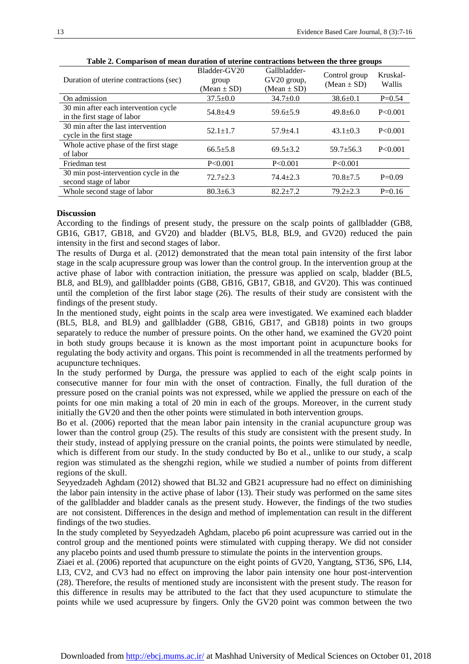| Duration of uterine contractions (sec)                              | Bladder-GV20<br>group<br>(Mean $\pm$ SD) | Gallbladder-<br>GV20 group,<br>$(Mean \pm SD)$ | Control group<br>$(Mean \pm SD)$ | Kruskal-<br>Wallis |
|---------------------------------------------------------------------|------------------------------------------|------------------------------------------------|----------------------------------|--------------------|
| On admission                                                        | $37.5 \pm 0.0$                           | $34.7 \pm 0.0$                                 | $38.6 \pm 0.1$                   | $P=0.54$           |
| 30 min after each intervention cycle<br>in the first stage of labor | $54.8 + 4.9$                             | $59.6 \pm 5.9$                                 | $49.8 \pm 6.0$                   | P<0.001            |
| 30 min after the last intervention<br>cycle in the first stage      | $52.1 \pm 1.7$                           | $57.9 \pm 4.1$                                 | $43.1 \pm 0.3$                   | P < 0.001          |
| Whole active phase of the first stage<br>of labor                   | $66.5 + 5.8$                             | $69.5 + 3.2$                                   | $59.7 + 56.3$                    | P<0.001            |
| Friedman test                                                       | P<0.001                                  | P < 0.001                                      | P < 0.001                        |                    |
| 30 min post-intervention cycle in the<br>second stage of labor      | $72.7 + 2.3$                             | $74.4 + 2.3$                                   | $70.8 + 7.5$                     | $P=0.09$           |
| Whole second stage of labor                                         | $80.3 \pm 6.3$                           | $82.2 + 7.2$                                   | $79.2 \pm 2.3$                   | $P=0.16$           |

**Table 2. Comparison of mean duration of uterine contractions between the three groups**

#### **Discussion**

According to the findings of present study, the pressure on the scalp points of gallbladder (GB8, GB16, GB17, GB18, and GV20) and bladder (BLV5, BL8, BL9, and GV20) reduced the pain intensity in the first and second stages of labor.

The results of Durga et al. (2012) demonstrated that the mean total pain intensity of the first labor stage in the scalp acupressure group was lower than the control group. In the intervention group at the active phase of labor with contraction initiation, the pressure was applied on scalp, bladder (BL5, BL8, and BL9), and gallbladder points (GB8, GB16, GB17, GB18, and GV20). This was continued until the completion of the first labor stage (26). The results of their study are consistent with the findings of the present study.

In the mentioned study, eight points in the scalp area were investigated. We examined each bladder (BL5, BL8, and BL9) and gallbladder (GB8, GB16, GB17, and GB18) points in two groups separately to reduce the number of pressure points. On the other hand, we examined the GV20 point in both study groups because it is known as the most important point in acupuncture books for regulating the body activity and organs. This point is recommended in all the treatments performed by acupuncture techniques.

In the study performed by Durga, the pressure was applied to each of the eight scalp points in consecutive manner for four min with the onset of contraction. Finally, the full duration of the pressure posed on the cranial points was not expressed, while we applied the pressure on each of the points for one min making a total of 20 min in each of the groups. Moreover, in the current study initially the GV20 and then the other points were stimulated in both intervention groups.

Bo et al. (2006) reported that the mean labor pain intensity in the cranial acupuncture group was lower than the control group (25). The results of this study are consistent with the present study. In their study, instead of applying pressure on the cranial points, the points were stimulated by needle, which is different from our study. In the study conducted by Bo et al., unlike to our study, a scalp region was stimulated as the shengzhi region, while we studied a number of points from different regions of the skull.

Seyyedzadeh Aghdam (2012) showed that BL32 and GB21 acupressure had no effect on diminishing the labor pain intensity in the active phase of labor (13). Their study was performed on the same sites of the gallbladder and bladder canals as the present study. However, the findings of the two studies are not consistent. Differences in the design and method of implementation can result in the different findings of the two studies.

In the study completed by Seyyedzadeh Aghdam, placebo p6 point acupressure was carried out in the control group and the mentioned points were stimulated with cupping therapy. We did not consider any placebo points and used thumb pressure to stimulate the points in the intervention groups.

Ziaei et al. (2006) reported that acupuncture on the eight points of GV20, Yangtang, ST36, SP6, LI4, LI3, CV2, and CV3 had no effect on improving the labor pain intensity one hour post-intervention (28). Therefore, the results of mentioned study are inconsistent with the present study. The reason for this difference in results may be attributed to the fact that they used acupuncture to stimulate the points while we used acupressure by fingers. Only the GV20 point was common between the two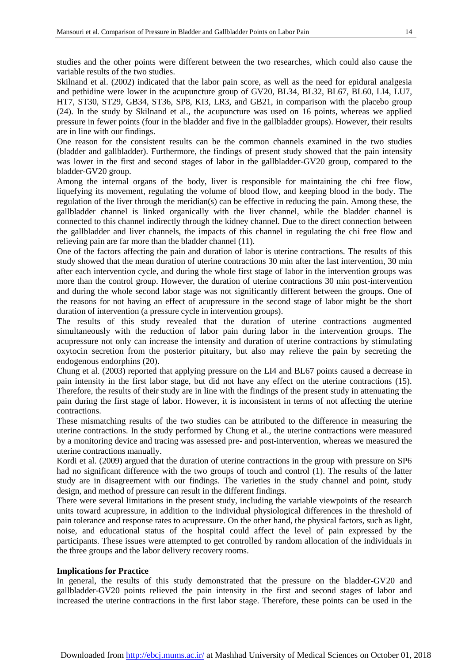studies and the other points were different between the two researches, which could also cause the variable results of the two studies.

Skilnand et al. (2002) indicated that the labor pain score, as well as the need for epidural analgesia and pethidine were lower in the acupuncture group of GV20, BL34, BL32, BL67, BL60, LI4, LU7, HT7, ST30, ST29, GB34, ST36, SP8, KI3, LR3, and GB21, in comparison with the placebo group (24). In the study by Skilnand et al., the acupuncture was used on 16 points, whereas we applied pressure in fewer points (four in the bladder and five in the gallbladder groups). However, their results are in line with our findings.

One reason for the consistent results can be the common channels examined in the two studies (bladder and gallbladder). Furthermore, the findings of present study showed that the pain intensity was lower in the first and second stages of labor in the gallbladder-GV20 group, compared to the bladder-GV20 group.

Among the internal organs of the body, liver is responsible for maintaining the chi free flow, liquefying its movement, regulating the volume of blood flow, and keeping blood in the body. The regulation of the liver through the meridian(s) can be effective in reducing the pain. Among these, the gallbladder channel is linked organically with the liver channel, while the bladder channel is connected to this channel indirectly through the kidney channel. Due to the direct connection between the gallbladder and liver channels, the impacts of this channel in regulating the chi free flow and relieving pain are far more than the bladder channel (11).

One of the factors affecting the pain and duration of labor is uterine contractions. The results of this study showed that the mean duration of uterine contractions 30 min after the last intervention, 30 min after each intervention cycle, and during the whole first stage of labor in the intervention groups was more than the control group. However, the duration of uterine contractions 30 min post-intervention and during the whole second labor stage was not significantly different between the groups. One of the reasons for not having an effect of acupressure in the second stage of labor might be the short duration of intervention (a pressure cycle in intervention groups).

The results of this study revealed that the duration of uterine contractions augmented simultaneously with the reduction of labor pain during labor in the intervention groups. The acupressure not only can increase the intensity and duration of uterine contractions by stimulating oxytocin secretion from the posterior pituitary, but also may relieve the pain by secreting the endogenous endorphins (20).

Chung et al. (2003) reported that applying pressure on the LI4 and BL67 points caused a decrease in pain intensity in the first labor stage, but did not have any effect on the uterine contractions (15). Therefore, the results of their study are in line with the findings of the present study in attenuating the pain during the first stage of labor. However, it is inconsistent in terms of not affecting the uterine contractions.

These mismatching results of the two studies can be attributed to the difference in measuring the uterine contractions. In the study performed by Chung et al., the uterine contractions were measured by a monitoring device and tracing was assessed pre- and post-intervention, whereas we measured the uterine contractions manually.

Kordi et al. (2009) argued that the duration of uterine contractions in the group with pressure on SP6 had no significant difference with the two groups of touch and control (1). The results of the latter study are in disagreement with our findings. The varieties in the study channel and point, study design, and method of pressure can result in the different findings.

There were several limitations in the present study, including the variable viewpoints of the research units toward acupressure, in addition to the individual physiological differences in the threshold of pain tolerance and response rates to acupressure. On the other hand, the physical factors, such as light, noise, and educational status of the hospital could affect the level of pain expressed by the participants. These issues were attempted to get controlled by random allocation of the individuals in the three groups and the labor delivery recovery rooms.

#### **Implications for Practice**

In general, the results of this study demonstrated that the pressure on the bladder-GV20 and gallbladder-GV20 points relieved the pain intensity in the first and second stages of labor and increased the uterine contractions in the first labor stage. Therefore, these points can be used in the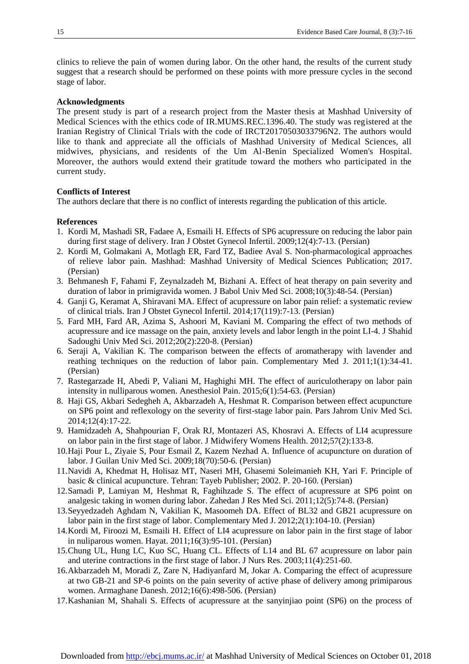clinics to relieve the pain of women during labor. On the other hand, the results of the current study suggest that a research should be performed on these points with more pressure cycles in the second stage of labor.

#### **Acknowledgments**

The present study is part of a research project from the Master thesis at Mashhad University of Medical Sciences with the ethics code of IR.MUMS.REC.1396.40. The study was registered at the Iranian Registry of Clinical Trials with the code of IRCT20170503033796N2. The authors would like to thank and appreciate all the officials of Mashhad University of Medical Sciences, all midwives, physicians, and residents of the Um Al-Benin Specialized Women's Hospital. Moreover, the authors would extend their gratitude toward the mothers who participated in the current study.

#### **Conflicts of Interest**

The authors declare that there is no conflict of interests regarding the publication of this article.

#### **References**

- 1. Kordi M, Mashadi SR, Fadaee A, Esmaili H. Effects of SP6 acupressure on reducing the labor pain during first stage of delivery. Iran J Obstet Gynecol Infertil. 2009;12(4):7-13. (Persian)
- 2. Kordi M, Golmakani A, Motlagh ER, Fard TZ, Badiee Aval S. Non-pharmacological approaches of relieve labor pain. Mashhad: Mashhad University of Medical Sciences Publication; 2017. (Persian)
- 3. Behmanesh F, Fahami F, Zeynalzadeh M, Bizhani A. Effect of heat therapy on pain severity and duration of labor in primigravida women. J Babol Univ Med Sci. 2008;10(3):48-54. (Persian)
- 4. Ganji G, Keramat A, Shiravani MA. Effect of acupressure on labor pain relief: a systematic review of clinical trials. Iran J Obstet Gynecol Infertil. 2014;17(119):7-13. (Persian)
- 5. Fard MH, Fard AR, Azima S, Ashoori M, Kaviani M. Comparing the effect of two methods of acupressure and ice massage on the pain, anxiety levels and labor length in the point LI-4. J Shahid Sadoughi Univ Med Sci. 2012;20(2):220-8. (Persian)
- 6. Seraji A, Vakilian K. The comparison between the effects of aromatherapy with lavender and reathing techniques on the reduction of labor pain. Complementary Med J. 2011;1(1):34-41. (Persian)
- 7. Rastegarzade H, Abedi P, Valiani M, Haghighi MH. The effect of auriculotherapy on labor pain intensity in nulliparous women. Anesthesiol Pain. 2015;6(1):54-63. (Persian)
- 8. Haji GS, Akbari Sedegheh A, Akbarzadeh A, Heshmat R. Comparison between effect acupuncture on SP6 point and reflexology on the severity of first-stage labor pain. Pars Jahrom Univ Med Sci. 2014;12(4):17-22.
- 9. Hamidzadeh A, Shahpourian F, Orak RJ, Montazeri AS, Khosravi A. Effects of LI4 acupressure on labor pain in the first stage of labor. J Midwifery Womens Health. 2012;57(2):133-8.
- 10.Haji Pour L, Ziyaie S, Pour Esmail Z, Kazem Nezhad A. Influence of acupuncture on duration of labor. J Guilan Univ Med Sci. 2009;18(70):50-6. (Persian)
- 11.Navidi A, Khedmat H, Holisaz MT, Naseri MH, Ghasemi Soleimanieh KH, Yari F. Principle of basic & clinical acupuncture. Tehran: Tayeb Publisher; 2002. P. 20-160. (Persian)
- 12.Samadi P, Lamiyan M, Heshmat R, Faghihzade S. The effect of acupressure at SP6 point on analgesic taking in women during labor. Zahedan J Res Med Sci. 2011;12(5):74-8. (Persian)
- 13.Seyyedzadeh Aghdam N, Vakilian K, Masoomeh DA. Effect of BL32 and GB21 acupressure on labor pain in the first stage of labor. Complementary Med J. 2012;2(1):104-10. (Persian)
- 14.Kordi M, Firoozi M, Esmaili H. Effect of LI4 acupressure on labor pain in the first stage of labor in nuliparous women. Hayat. 2011;16(3):95-101. (Persian)
- 15.Chung UL, Hung LC, Kuo SC, Huang CL. Effects of L14 and BL 67 acupressure on labor pain and uterine contractions in the first stage of labor. J Nurs Res. 2003;11(4):251-60.
- 16.Akbarzadeh M, Moradi Z, Zare N, Hadiyanfard M, Jokar A. Comparing the effect of acupressure at two GB-21 and SP-6 points on the pain severity of active phase of delivery among primiparous women. Armaghane Danesh. 2012;16(6):498-506. (Persian)
- 17.Kashanian M, Shahali S. Effects of acupressure at the sanyinjiao point (SP6) on the process of